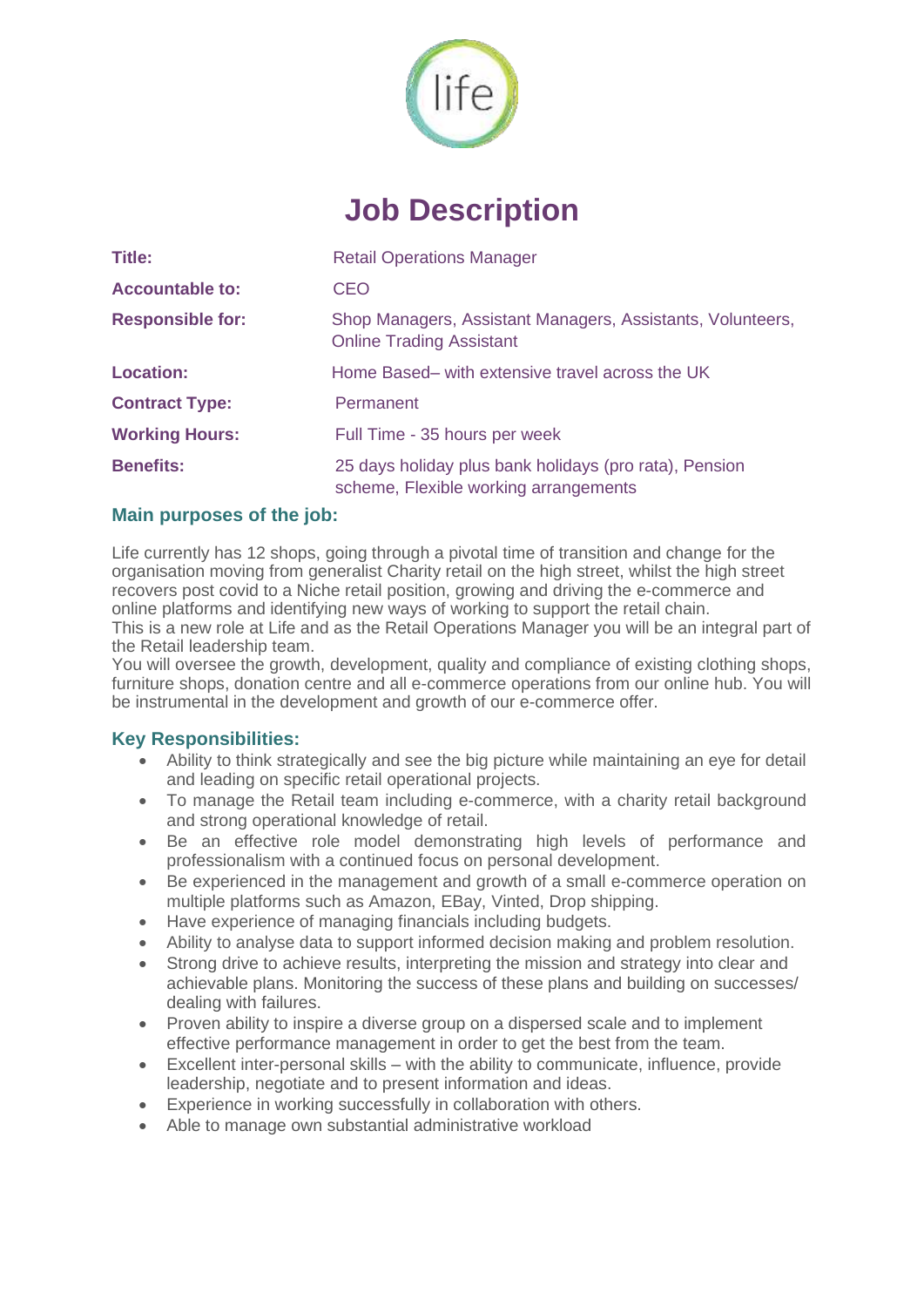

# **Job Description**

| <b>Title:</b>           | <b>Retail Operations Manager</b>                                                                |
|-------------------------|-------------------------------------------------------------------------------------------------|
| <b>Accountable to:</b>  | CEO                                                                                             |
| <b>Responsible for:</b> | Shop Managers, Assistant Managers, Assistants, Volunteers,<br><b>Online Trading Assistant</b>   |
| <b>Location:</b>        | Home Based- with extensive travel across the UK                                                 |
| <b>Contract Type:</b>   | Permanent                                                                                       |
| <b>Working Hours:</b>   | Full Time - 35 hours per week                                                                   |
| <b>Benefits:</b>        | 25 days holiday plus bank holidays (pro rata), Pension<br>scheme, Flexible working arrangements |

## **Main purposes of the job:**

Life currently has 12 shops, going through a pivotal time of transition and change for the organisation moving from generalist Charity retail on the high street, whilst the high street recovers post covid to a Niche retail position, growing and driving the e-commerce and online platforms and identifying new ways of working to support the retail chain.

This is a new role at Life and as the Retail Operations Manager you will be an integral part of the Retail leadership team.

You will oversee the growth, development, quality and compliance of existing clothing shops, furniture shops, donation centre and all e-commerce operations from our online hub. You will be instrumental in the development and growth of our e-commerce offer.

#### **Key Responsibilities:**

- Ability to think strategically and see the big picture while maintaining an eye for detail and leading on specific retail operational projects.
- To manage the Retail team including e-commerce, with a charity retail background and strong operational knowledge of retail.
- Be an effective role model demonstrating high levels of performance and professionalism with a continued focus on personal development.
- Be experienced in the management and growth of a small e-commerce operation on multiple platforms such as Amazon, EBay, Vinted, Drop shipping.
- Have experience of managing financials including budgets.
- Ability to analyse data to support informed decision making and problem resolution.
- Strong drive to achieve results, interpreting the mission and strategy into clear and achievable plans. Monitoring the success of these plans and building on successes/ dealing with failures.
- Proven ability to inspire a diverse group on a dispersed scale and to implement effective performance management in order to get the best from the team.
- Excellent inter-personal skills with the ability to communicate, influence, provide leadership, negotiate and to present information and ideas.
- Experience in working successfully in collaboration with others.
- Able to manage own substantial administrative workload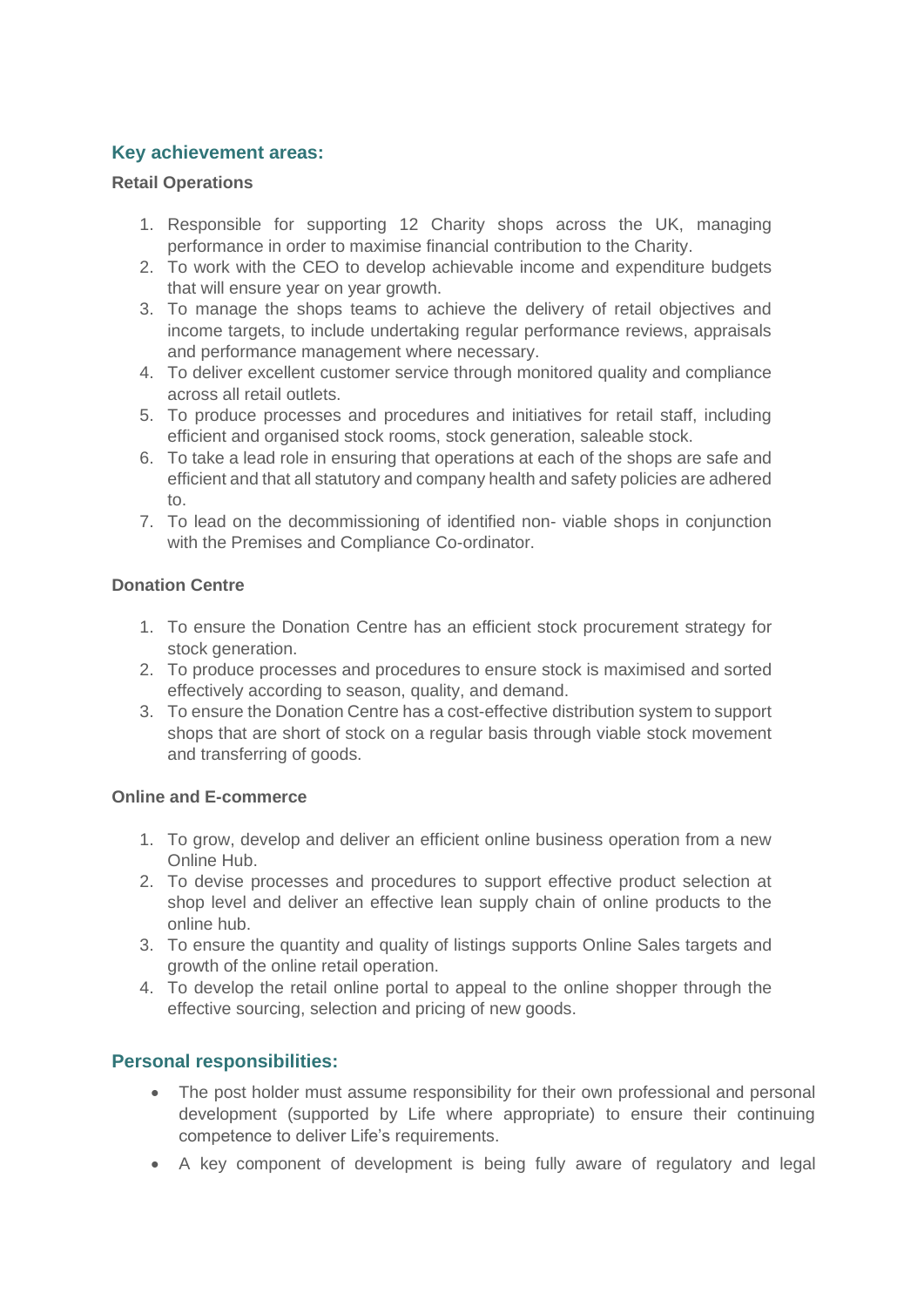# **Key achievement areas:**

# **Retail Operations**

- 1. Responsible for supporting 12 Charity shops across the UK, managing performance in order to maximise financial contribution to the Charity.
- 2. To work with the CEO to develop achievable income and expenditure budgets that will ensure year on year growth.
- 3. To manage the shops teams to achieve the delivery of retail objectives and income targets, to include undertaking regular performance reviews, appraisals and performance management where necessary.
- 4. To deliver excellent customer service through monitored quality and compliance across all retail outlets.
- 5. To produce processes and procedures and initiatives for retail staff, including efficient and organised stock rooms, stock generation, saleable stock.
- 6. To take a lead role in ensuring that operations at each of the shops are safe and efficient and that all statutory and company health and safety policies are adhered to.
- 7. To lead on the decommissioning of identified non- viable shops in conjunction with the Premises and Compliance Co-ordinator.

## **Donation Centre**

- 1. To ensure the Donation Centre has an efficient stock procurement strategy for stock generation.
- 2. To produce processes and procedures to ensure stock is maximised and sorted effectively according to season, quality, and demand.
- 3. To ensure the Donation Centre has a cost-effective distribution system to support shops that are short of stock on a regular basis through viable stock movement and transferring of goods.

#### **Online and E-commerce**

- 1. To grow, develop and deliver an efficient online business operation from a new Online Hub.
- 2. To devise processes and procedures to support effective product selection at shop level and deliver an effective lean supply chain of online products to the online hub.
- 3. To ensure the quantity and quality of listings supports Online Sales targets and growth of the online retail operation.
- 4. To develop the retail online portal to appeal to the online shopper through the effective sourcing, selection and pricing of new goods.

# **Personal responsibilities:**

- The post holder must assume responsibility for their own professional and personal development (supported by Life where appropriate) to ensure their continuing competence to deliver Life's requirements.
- A key component of development is being fully aware of regulatory and legal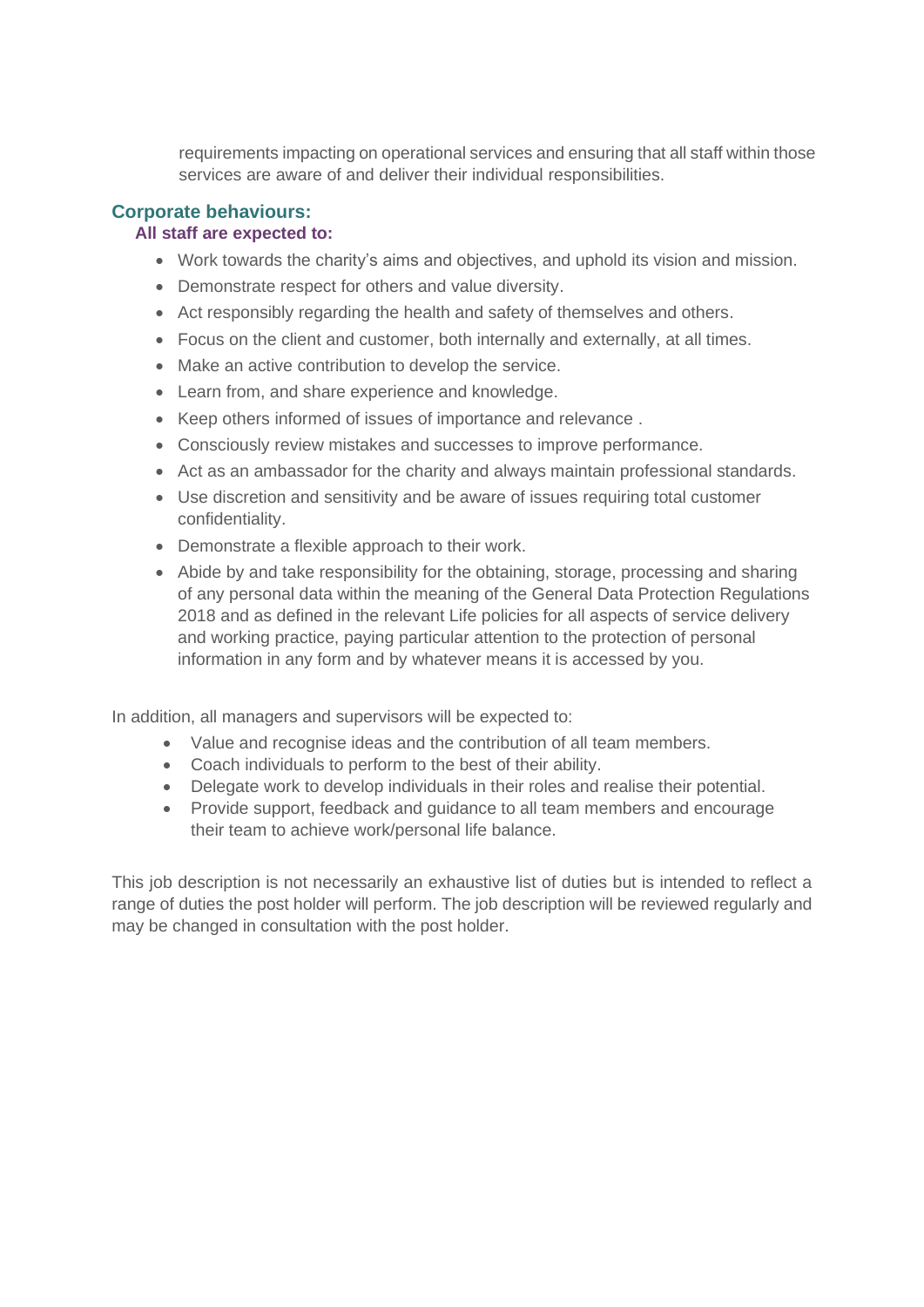requirements impacting on operational services and ensuring that all staff within those services are aware of and deliver their individual responsibilities.

# **Corporate behaviours:**

# **All staff are expected to:**

- Work towards the charity's aims and objectives, and uphold its vision and mission.
- Demonstrate respect for others and value diversity.
- Act responsibly regarding the health and safety of themselves and others.
- Focus on the client and customer, both internally and externally, at all times.
- Make an active contribution to develop the service.
- Learn from, and share experience and knowledge.
- Keep others informed of issues of importance and relevance .
- Consciously review mistakes and successes to improve performance.
- Act as an ambassador for the charity and always maintain professional standards.
- Use discretion and sensitivity and be aware of issues requiring total customer confidentiality.
- Demonstrate a flexible approach to their work.
- Abide by and take responsibility for the obtaining, storage, processing and sharing of any personal data within the meaning of the General Data Protection Regulations 2018 and as defined in the relevant Life policies for all aspects of service delivery and working practice, paying particular attention to the protection of personal information in any form and by whatever means it is accessed by you.

In addition, all managers and supervisors will be expected to:

- Value and recognise ideas and the contribution of all team members.
- Coach individuals to perform to the best of their ability.
- Delegate work to develop individuals in their roles and realise their potential.
- Provide support, feedback and guidance to all team members and encourage their team to achieve work/personal life balance.

This job description is not necessarily an exhaustive list of duties but is intended to reflect a range of duties the post holder will perform. The job description will be reviewed regularly and may be changed in consultation with the post holder.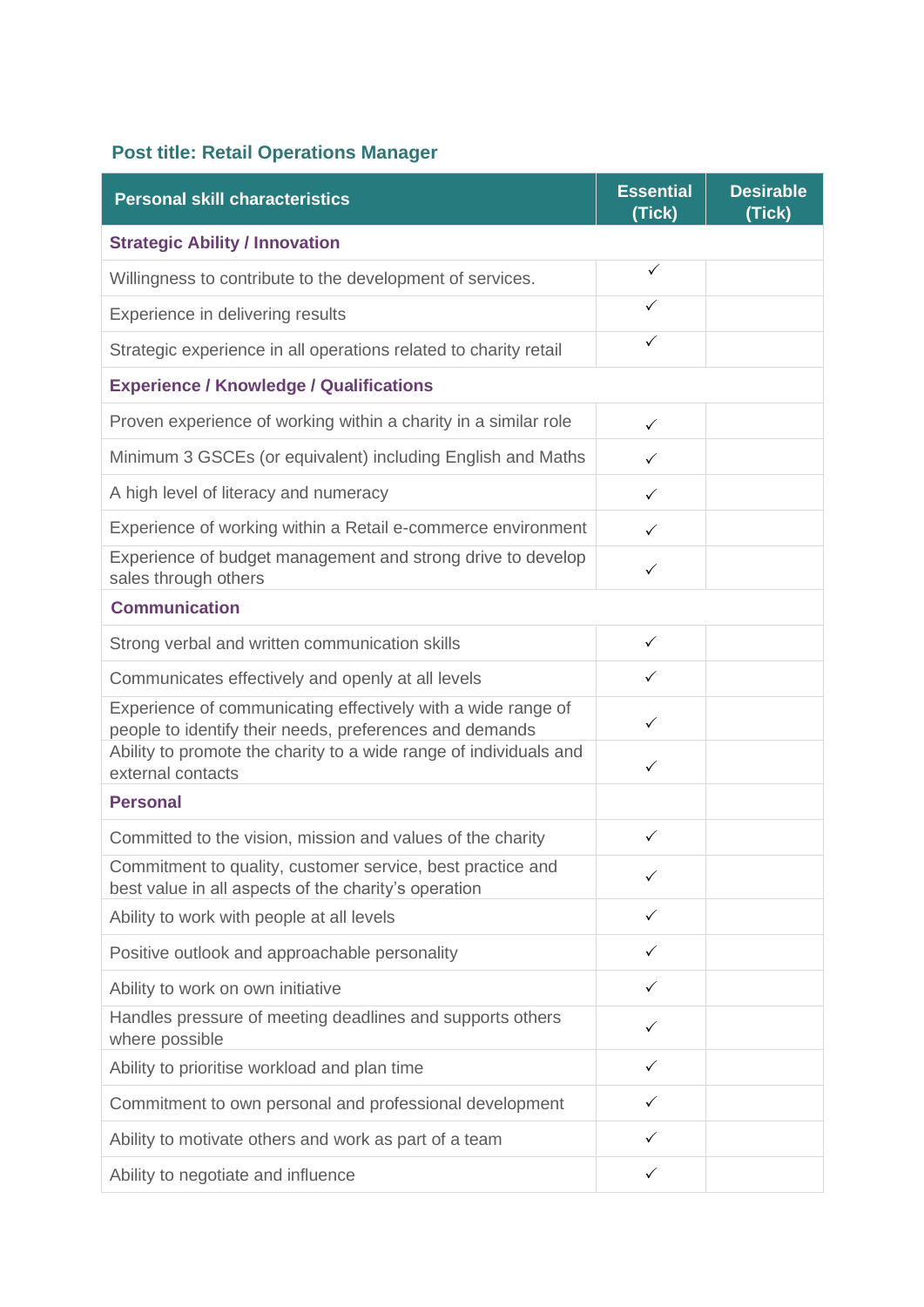# **Post title: Retail Operations Manager**

| <b>Personal skill characteristics</b>                                                                                                                                                        | <b>Essential</b><br>(Tick) | <b>Desirable</b><br>(Tick) |
|----------------------------------------------------------------------------------------------------------------------------------------------------------------------------------------------|----------------------------|----------------------------|
| <b>Strategic Ability / Innovation</b>                                                                                                                                                        |                            |                            |
| Willingness to contribute to the development of services.                                                                                                                                    | $\checkmark$               |                            |
| Experience in delivering results                                                                                                                                                             | ✓                          |                            |
| Strategic experience in all operations related to charity retail                                                                                                                             | $\checkmark$               |                            |
| <b>Experience / Knowledge / Qualifications</b>                                                                                                                                               |                            |                            |
| Proven experience of working within a charity in a similar role                                                                                                                              | $\checkmark$               |                            |
| Minimum 3 GSCEs (or equivalent) including English and Maths                                                                                                                                  | $\checkmark$               |                            |
| A high level of literacy and numeracy                                                                                                                                                        | $\checkmark$               |                            |
| Experience of working within a Retail e-commerce environment                                                                                                                                 | $\checkmark$               |                            |
| Experience of budget management and strong drive to develop<br>sales through others                                                                                                          | $\checkmark$               |                            |
| <b>Communication</b>                                                                                                                                                                         |                            |                            |
| Strong verbal and written communication skills                                                                                                                                               | $\checkmark$               |                            |
| Communicates effectively and openly at all levels                                                                                                                                            | $\checkmark$               |                            |
| Experience of communicating effectively with a wide range of<br>people to identify their needs, preferences and demands<br>Ability to promote the charity to a wide range of individuals and | $\checkmark$               |                            |
| external contacts                                                                                                                                                                            | ✓                          |                            |
| <b>Personal</b>                                                                                                                                                                              |                            |                            |
| Committed to the vision, mission and values of the charity                                                                                                                                   | $\checkmark$               |                            |
| Commitment to quality, customer service, best practice and<br>best value in all aspects of the charity's operation                                                                           |                            |                            |
| Ability to work with people at all levels                                                                                                                                                    | $\checkmark$               |                            |
| Positive outlook and approachable personality                                                                                                                                                | $\checkmark$               |                            |
| Ability to work on own initiative                                                                                                                                                            | ✓                          |                            |
| Handles pressure of meeting deadlines and supports others<br>where possible                                                                                                                  | ✓                          |                            |
| Ability to prioritise workload and plan time                                                                                                                                                 | ✓                          |                            |
| Commitment to own personal and professional development                                                                                                                                      | $\checkmark$               |                            |
| Ability to motivate others and work as part of a team                                                                                                                                        | $\checkmark$               |                            |
| Ability to negotiate and influence                                                                                                                                                           | $\checkmark$               |                            |